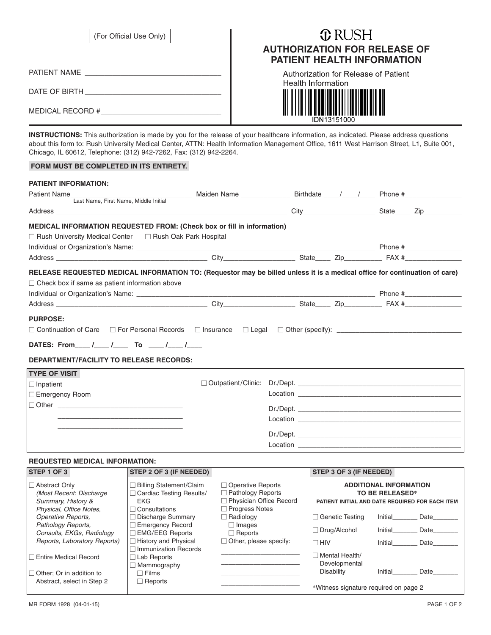| (For Official Use Only) |  |
|-------------------------|--|
|-------------------------|--|

# **T** RUSH **AUTHORIZATION FOR RELEASE OF PATIENT HEALTH INFORMATION**

| PATIENT NAME |
|--------------|
|              |

DATE OF BIRTH \_\_\_\_\_\_\_\_\_\_\_\_\_\_\_\_\_\_\_\_\_\_\_\_\_\_\_\_\_\_\_\_\_\_

MEDICAL RECORD #

Authorization for Release of Patient **Health Information** 

IDN13151000

**INSTRUCTIONS:** This authorization is made by you for the release of your healthcare information, as indicated. Please address questions about this form to: Rush University Medical Center, ATTN: Health Information Management Office, 1611 West Harrison Street, L1, Suite 001, Chicago, IL 60612, Telephone: (312) 942-7262, Fax: (312) 942-2264.

#### **FORM MUST BE COMPLETED IN ITS ENTIRETY.**

| <b>PATIENT INFORMATION:</b>                                                                                                                                                         |  |  |  |
|-------------------------------------------------------------------------------------------------------------------------------------------------------------------------------------|--|--|--|
|                                                                                                                                                                                     |  |  |  |
| Last Name, First Name, Middle Initial                                                                                                                                               |  |  |  |
| MEDICAL INFORMATION REQUESTED FROM: (Check box or fill in information)                                                                                                              |  |  |  |
| □ Rush University Medical Center □ Rush Oak Park Hospital                                                                                                                           |  |  |  |
|                                                                                                                                                                                     |  |  |  |
|                                                                                                                                                                                     |  |  |  |
| RELEASE REQUESTED MEDICAL INFORMATION TO: (Requestor may be billed unless it is a medical office for continuation of care)<br>$\Box$ Check box if same as patient information above |  |  |  |
| <b>PURPOSE:</b><br>DATES: From ___ /___ /____ To ___ /___ /___<br><b>DEPARTMENT/FACILITY TO RELEASE RECORDS:</b>                                                                    |  |  |  |
| <b>TYPE OF VISIT</b>                                                                                                                                                                |  |  |  |
| $\Box$ Inpatient                                                                                                                                                                    |  |  |  |
| □ Emergency Room                                                                                                                                                                    |  |  |  |
| $\Box$ Other $\Box$                                                                                                                                                                 |  |  |  |
|                                                                                                                                                                                     |  |  |  |
|                                                                                                                                                                                     |  |  |  |
|                                                                                                                                                                                     |  |  |  |
|                                                                                                                                                                                     |  |  |  |

### **REQUESTED MEDICAL INFORMATION:**

| STEP 1 OF 3                                                                                 | STEP 2 OF 3 (IF NEEDED)                                                                            |                                                                                                     | STEP 3 OF 3 (IF NEEDED)                                                                                    |         |      |
|---------------------------------------------------------------------------------------------|----------------------------------------------------------------------------------------------------|-----------------------------------------------------------------------------------------------------|------------------------------------------------------------------------------------------------------------|---------|------|
| □ Abstract Only<br>(Most Recent: Discharge<br>Summary, History &<br>Physical, Office Notes, | <b>Billing Statement/Claim</b><br><b>Cardiac Testing Results/</b><br><b>EKG</b><br>l Consultations | $\Box$ Operative Reports<br>$\Box$ Pathology Reports<br>Physician Office Record<br>□ Progress Notes | <b>ADDITIONAL INFORMATION</b><br><b>TO BE RELEASED*</b><br>PATIENT INITIAL AND DATE REQUIRED FOR EACH ITEM |         |      |
| Operative Reports,                                                                          | Discharge Summary                                                                                  | $\Box$ Radiology                                                                                    | $\Box$ Genetic Testing                                                                                     | Initial | Date |
| Pathology Reports,<br>Consults, EKGs, Radiology                                             | <b>Emergency Record</b><br><b>EMG/EEG Reports</b>                                                  | $\Box$ Images<br>$\Box$ Reports                                                                     | $\Box$ Drug/Alcohol                                                                                        | Initial | Date |
| Reports, Laboratory Reports)                                                                | History and Physical<br><b>Immunization Records</b>                                                | $\Box$ Other, please specify:                                                                       | $\Box$ HIV                                                                                                 | Initial | Date |
| □ Entire Medical Record                                                                     | Lab Reports<br>Mammography                                                                         |                                                                                                     | $\Box$ Mental Health/<br>Developmental                                                                     |         |      |
| $\Box$ Other; Or in addition to                                                             | $\Box$ Films                                                                                       |                                                                                                     | <b>Disability</b>                                                                                          | Initial | Date |
| Abstract, select in Step 2                                                                  | $\Box$ Reports                                                                                     |                                                                                                     | *Witness signature required on page 2                                                                      |         |      |